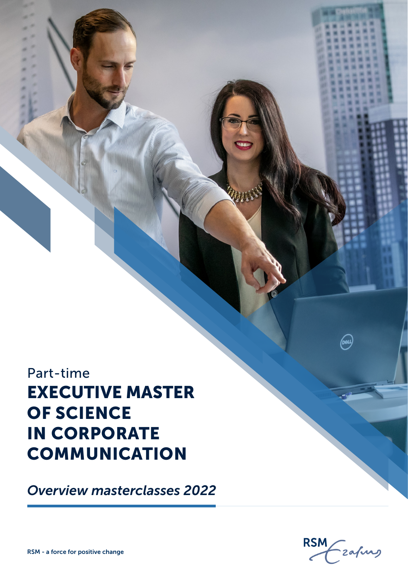Part-time EXECUTIVE MASTER OF SCIENCE IN CORPORATE **COMMUNICATION** 

*Overview masterclasses 2022*



(dal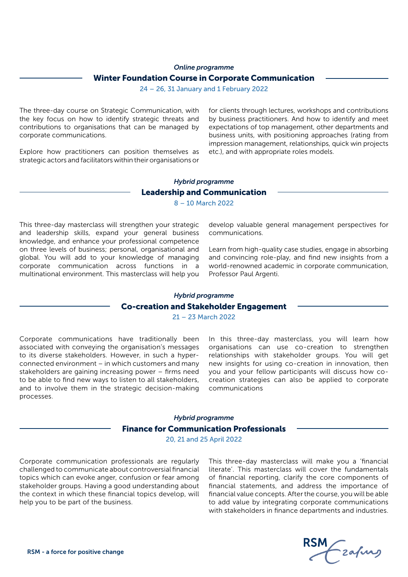#### *Online programme*

#### Winter Foundation Course in Corporate Communication

24 – 26, 31 January and 1 February 2022

The three-day course on Strategic Communication, with the key focus on how to identify strategic threats and contributions to organisations that can be managed by corporate communications.

Explore how practitioners can position themselves as strategic actors and facilitators within their organisations or

for clients through lectures, workshops and contributions by business practitioners. And how to identify and meet expectations of top management, other departments and business units, with positioning approaches (rating from impression management, relationships, quick win projects etc.), and with appropriate roles models.

## Leadership and Communication *Hybrid programme*

8 – 10 March 2022

This three-day masterclass will strengthen your strategic and leadership skills, expand your general business knowledge, and enhance your professional competence on three levels of business; personal, organisational and global. You will add to your knowledge of managing corporate communication across functions in a multinational environment. This masterclass will help you

develop valuable general management perspectives for communications.

Learn from high-quality case studies, engage in absorbing and convincing role-play, and find new insights from a world-renowned academic in corporate communication, Professor Paul Argenti.

## Co-creation and Stakeholder Engagement *Hybrid programme*

21 – 23 March 2022

Corporate communications have traditionally been associated with conveying the organisation's messages to its diverse stakeholders. However, in such a hyperconnected environment – in which customers and many stakeholders are gaining increasing power – firms need to be able to find new ways to listen to all stakeholders, and to involve them in the strategic decision-making processes.

In this three-day masterclass, you will learn how organisations can use co-creation to strengthen relationships with stakeholder groups. You will get new insights for using co-creation in innovation, then you and your fellow participants will discuss how cocreation strategies can also be applied to corporate communications

# Finance for Communication Professionals *Hybrid programme*

20, 21 and 25 April 2022

Corporate communication professionals are regularly challenged to communicate about controversial financial topics which can evoke anger, confusion or fear among stakeholder groups. Having a good understanding about the context in which these financial topics develop, will help you to be part of the business.

This three-day masterclass will make you a 'financial literate'. This masterclass will cover the fundamentals of financial reporting, clarify the core components of financial statements, and address the importance of financial value concepts. After the course, you will be able to add value by integrating corporate communications with stakeholders in finance departments and industries.

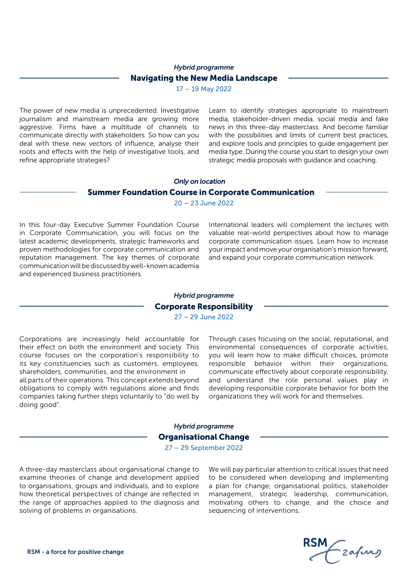# Navigating the New Media Landscape *Hybrid programme*

17 – 19 May 2022

The power of new media is unprecedented. Investigative journalism and mainstream media are growing more aggressive. Firms have a multitude of channels to communicate directly with stakeholders. So how can you deal with these new vectors of influence, analyse their roots and effects with the help of investigative tools, and refine appropriate strategies?

Learn to identify strategies appropriate to mainstream media, stakeholder-driven media, social media and fake news in this three-day masterclass. And become familiar with the possibilities and limits of current best practices, and explore tools and principles to guide engagement per media type. During the course you start to design your own strategic media proposals with guidance and coaching.

### Summer Foundation Course in Corporate Communication *Only on location*

20 – 23 June 2022

In this four-day Executive Summer Foundation Course in Corporate Communication, you will focus on the latest academic developments, strategic frameworks and proven methodologies for corporate communication and reputation management. The key themes of corporate communication will be discussed by well-known academia and experienced business practitioners.

International leaders will complement the lectures with valuable real-world perspectives about how to manage corporate communication issues. Learn how to increase your impact and move your organisation's mission forward, and expand your corporate communication network.

### Corporate Responsibility *Hybrid programme* 27 – 29 June 2022

Corporations are increasingly held accountable for their effect on both the environment and society. This course focuses on the corporation's responsibility to its key constituencies such as customers, employees, shareholders, communities, and the environment in

all parts of their operations. This concept extends beyond obligations to comply with regulations alone and finds companies taking further steps voluntarily to "do well by doing good".

Through cases focusing on the social, reputational, and environmental consequences of corporate activities, you will learn how to make difficult choices, promote responsible behavior within their organizations, communicate effectively about corporate responsibility, and understand the role personal values play in developing responsible corporate behavior for both the organizations they will work for and themselves.

## Organisational Change *Hybrid programme* 27 – 29 September 2022

A three-day masterclass about organisational change to examine theories of change and development applied to organisations, groups and individuals, and to explore how theoretical perspectives of change are reflected in the range of approaches applied to the diagnosis and solving of problems in organisations.

We will pay particular attention to critical issues that need to be considered when developing and implementing a plan for change; organisational politics, stakeholder management, strategic leadership, communication, motivating others to change, and the choice and sequencing of interventions.